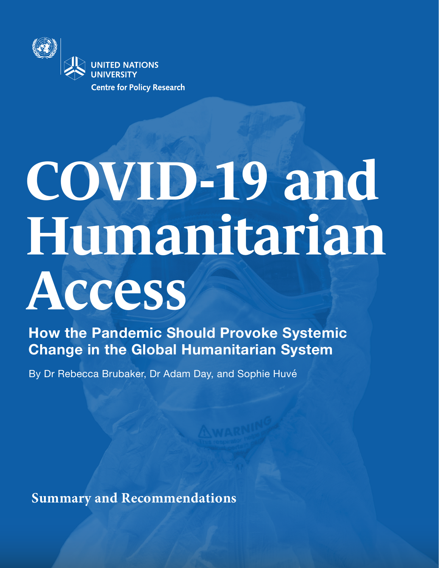

# **COVID-19 and Humanitarian Access**

**How the Pandemic Should Provoke Systemic Change in the Global Humanitarian System** 

By Dr Rebecca Brubaker, Dr Adam Day, and Sophie Huvé

**Summary and Recommendations**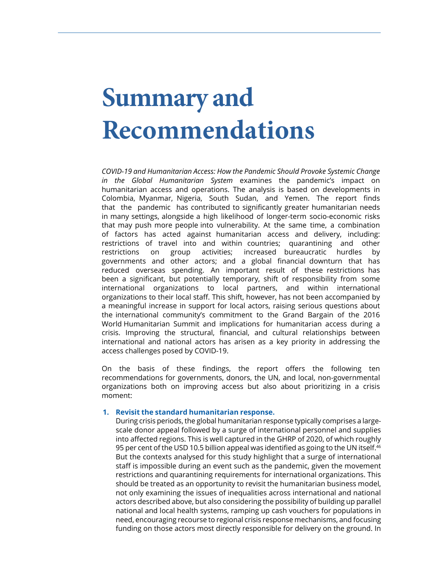# **Summary and Recommendations**

*COVID-19 and Humanitarian Access: How the Pandemic Should Provoke Systemic Change in the Global Humanitarian System* examines the pandemic's impact on humanitarian access and operations. The analysis is based on developments in Colombia, Myanmar, Nigeria, South Sudan, and Yemen. The report finds that the pandemic has contributed to significantly greater humanitarian needs in many settings, alongside a high likelihood of longer-term socio-economic risks that may push more people into vulnerability. At the same time, a combination of factors has acted against humanitarian access and delivery, including: restrictions of travel into and within countries; quarantining and other restrictions on group activities; increased bureaucratic hurdles by governments and other actors; and a global financial downturn that has reduced overseas spending. An important result of these restrictions has been a significant, but potentially temporary, shift of responsibility from some international organizations to local partners, and within international organizations to their local staff. This shift, however, has not been accompanied by a meaningful increase in support for local actors, raising serious questions about the international community's commitment to the Grand Bargain of the 2016 World Humanitarian Summit and implications for humanitarian access during a crisis. Improving the structural, financial, and cultural relationships between international and national actors has arisen as a key priority in addressing the access challenges posed by COVID-19.

On the basis of these findings, the report offers the following ten recommendations for governments, donors, the UN, and local, non-governmental organizations both on improving access but also about prioritizing in a crisis moment:

# **1. Revisit the standard humanitarian response.**

During crisis periods, the global humanitarian response typically comprises a largescale donor appeal followed by a surge of international personnel and supplies into affected regions. This is well captured in the GHRP of 2020, of which roughly 95 per cent of the USD 10.5 billion appeal was identified as going to the UN itself.<sup>46</sup> But the contexts analysed for this study highlight that a surge of international staff is impossible during an event such as the pandemic, given the movement restrictions and quarantining requirements for international organizations. This should be treated as an opportunity to revisit the humanitarian business model, not only examining the issues of inequalities across international and national actors described above, but also considering the possibility of building up parallel national and local health systems, ramping up cash vouchers for populations in need, encouraging recourse to regional crisis response mechanisms, and focusing funding on those actors most directly responsible for delivery on the ground. In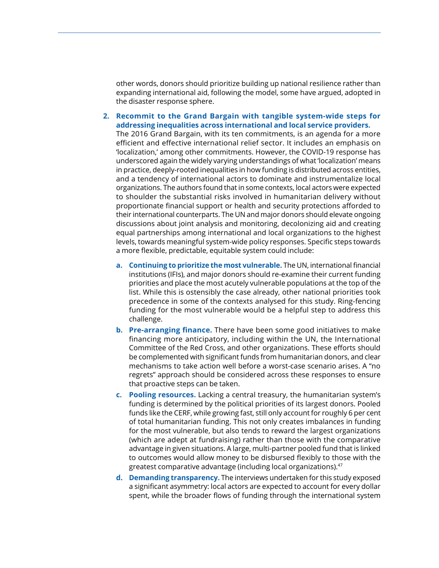other words, donors should prioritize building up national resilience rather than expanding international aid, following the model, some have argued, adopted in the disaster response sphere.

# **2. Recommit to the Grand Bargain with tangible system-wide steps for addressing inequalities across international and local service providers.**

The 2016 Grand Bargain, with its ten commitments, is an agenda for a more efficient and effective international relief sector. It includes an emphasis on 'localization,' among other commitments. However, the COVID-19 response has underscored again the widely varying understandings of what 'localization' means in practice, deeply-rooted inequalities in how funding is distributed across entities, and a tendency of international actors to dominate and instrumentalize local organizations. The authors found that in some contexts, local actors were expected to shoulder the substantial risks involved in humanitarian delivery without proportionate financial support or health and security protections afforded to their international counterparts. The UN and major donors should elevate ongoing discussions about joint analysis and monitoring, decolonizing aid and creating equal partnerships among international and local organizations to the highest levels, towards meaningful system-wide policy responses. Specific steps towards a more flexible, predictable, equitable system could include:

- **a. Continuing to prioritize the most vulnerable.** The UN, international financial institutions (IFIs), and major donors should re-examine their current funding priorities and place the most acutely vulnerable populations at the top of the list. While this is ostensibly the case already, other national priorities took precedence in some of the contexts analysed for this study. Ring-fencing funding for the most vulnerable would be a helpful step to address this challenge.
- **b. Pre-arranging finance.** There have been some good initiatives to make financing more anticipatory, including within the UN, the International Committee of the Red Cross, and other organizations. These efforts should be complemented with significant funds from humanitarian donors, and clear mechanisms to take action well before a worst-case scenario arises. A "no regrets" approach should be considered across these responses to ensure that proactive steps can be taken.
- **c. Pooling resources.** Lacking a central treasury, the humanitarian system's funding is determined by the political priorities of its largest donors. Pooled funds like the CERF, while growing fast, still only account for roughly 6 per cent of total humanitarian funding. This not only creates imbalances in funding for the most vulnerable, but also tends to reward the largest organizations (which are adept at fundraising) rather than those with the comparative advantage in given situations. A large, multi-partner pooled fund that is linked to outcomes would allow money to be disbursed flexibly to those with the greatest comparative advantage (including local organizations).47
- **d. Demanding transparency.** The interviews undertaken for this study exposed a significant asymmetry: local actors are expected to account for every dollar spent, while the broader flows of funding through the international system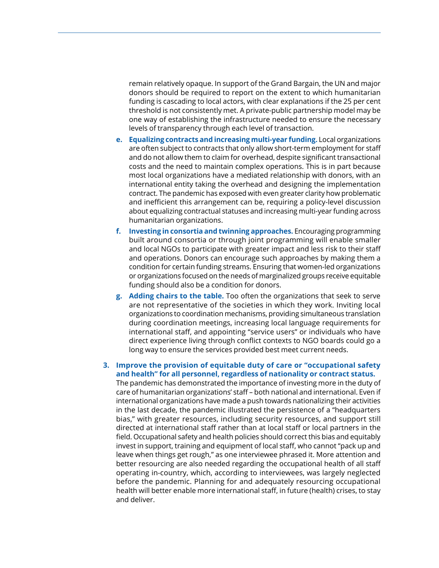remain relatively opaque. In support of the Grand Bargain, the UN and major donors should be required to report on the extent to which humanitarian funding is cascading to local actors, with clear explanations if the 25 per cent threshold is not consistently met. A private-public partnership model may be one way of establishing the infrastructure needed to ensure the necessary levels of transparency through each level of transaction.

- **e. Equalizing contracts and increasing multi-year funding.** Local organizations are often subject to contracts that only allow short-term employment for staff and do not allow them to claim for overhead, despite significant transactional costs and the need to maintain complex operations. This is in part because most local organizations have a mediated relationship with donors, with an international entity taking the overhead and designing the implementation contract. The pandemic has exposed with even greater clarity how problematic and inefficient this arrangement can be, requiring a policy-level discussion about equalizing contractual statuses and increasing multi-year funding across humanitarian organizations.
- **f. Investing in consortia and twinning approaches.** Encouraging programming built around consortia or through joint programming will enable smaller and local NGOs to participate with greater impact and less risk to their staff and operations. Donors can encourage such approaches by making them a condition for certain funding streams. Ensuring that women-led organizations or organizations focused on the needs of marginalized groups receive equitable funding should also be a condition for donors.
- **g. Adding chairs to the table.** Too often the organizations that seek to serve are not representative of the societies in which they work. Inviting local organizations to coordination mechanisms, providing simultaneous translation during coordination meetings, increasing local language requirements for international staff, and appointing "service users" or individuals who have direct experience living through conflict contexts to NGO boards could go a long way to ensure the services provided best meet current needs.

# **3. Improve the provision of equitable duty of care or "occupational safety and health" for all personnel, regardless of nationality or contract status.**

The pandemic has demonstrated the importance of investing more in the duty of care of humanitarian organizations' staff – both national and international. Even if international organizations have made a push towards nationalizing their activities in the last decade, the pandemic illustrated the persistence of a "headquarters bias," with greater resources, including security resources, and support still directed at international staff rather than at local staff or local partners in the field. Occupational safety and health policies should correct this bias and equitably invest in support, training and equipment of local staff, who cannot "pack up and leave when things get rough," as one interviewee phrased it. More attention and better resourcing are also needed regarding the occupational health of all staff operating in-country, which, according to interviewees, was largely neglected before the pandemic. Planning for and adequately resourcing occupational health will better enable more international staff, in future (health) crises, to stay and deliver.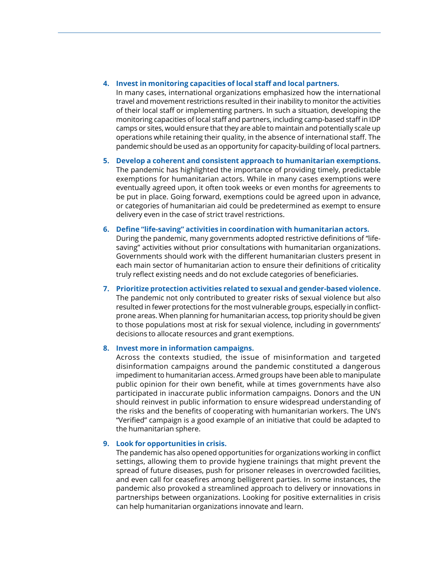### **4. Invest in monitoring capacities of local staff and local partners.**

In many cases, international organizations emphasized how the international travel and movement restrictions resulted in their inability to monitor the activities of their local staff or implementing partners. In such a situation, developing the monitoring capacities of local staff and partners, including camp-based staff in IDP camps or sites, would ensure that they are able to maintain and potentially scale up operations while retaining their quality, in the absence of international staff. The pandemic should be used as an opportunity for capacity-building of local partners.

# **5. Develop a coherent and consistent approach to humanitarian exemptions.** The pandemic has highlighted the importance of providing timely, predictable exemptions for humanitarian actors. While in many cases exemptions were eventually agreed upon, it often took weeks or even months for agreements to be put in place. Going forward, exemptions could be agreed upon in advance, or categories of humanitarian aid could be predetermined as exempt to ensure delivery even in the case of strict travel restrictions.

# **6. Define "life-saving" activities in coordination with humanitarian actors.**

During the pandemic, many governments adopted restrictive definitions of "lifesaving" activities without prior consultations with humanitarian organizations. Governments should work with the different humanitarian clusters present in each main sector of humanitarian action to ensure their definitions of criticality truly reflect existing needs and do not exclude categories of beneficiaries.

# **7. Prioritize protection activities related to sexual and gender-based violence.**

The pandemic not only contributed to greater risks of sexual violence but also resulted in fewer protections for the most vulnerable groups, especially in conflictprone areas. When planning for humanitarian access, top priority should be given to those populations most at risk for sexual violence, including in governments' decisions to allocate resources and grant exemptions.

# **8. Invest more in information campaigns.**

Across the contexts studied, the issue of misinformation and targeted disinformation campaigns around the pandemic constituted a dangerous impediment to humanitarian access. Armed groups have been able to manipulate public opinion for their own benefit, while at times governments have also participated in inaccurate public information campaigns. Donors and the UN should reinvest in public information to ensure widespread understanding of the risks and the benefits of cooperating with humanitarian workers. The UN's "Verified" campaign is a good example of an initiative that could be adapted to the humanitarian sphere.

# **9. Look for opportunities in crisis.**

The pandemic has also opened opportunities for organizations working in conflict settings, allowing them to provide hygiene trainings that might prevent the spread of future diseases, push for prisoner releases in overcrowded facilities, and even call for ceasefires among belligerent parties. In some instances, the pandemic also provoked a streamlined approach to delivery or innovations in partnerships between organizations. Looking for positive externalities in crisis can help humanitarian organizations innovate and learn.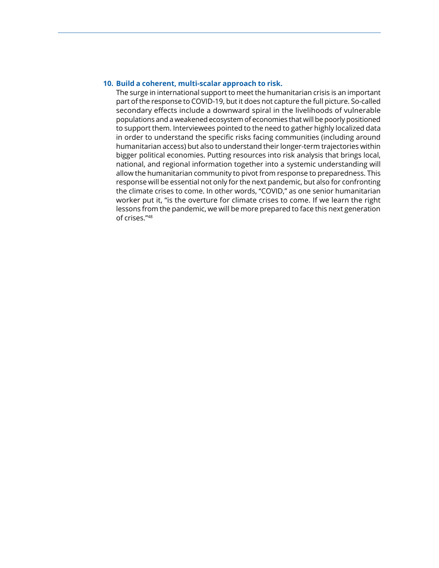### **10. Build a coherent, multi-scalar approach to risk.**

The surge in international support to meet the humanitarian crisis is an important part of the response to COVID-19, but it does not capture the full picture. So-called secondary effects include a downward spiral in the livelihoods of vulnerable populations and a weakened ecosystem of economies that will be poorly positioned to support them. Interviewees pointed to the need to gather highly localized data in order to understand the specific risks facing communities (including around humanitarian access) but also to understand their longer-term trajectories within bigger political economies. Putting resources into risk analysis that brings local, national, and regional information together into a systemic understanding will allow the humanitarian community to pivot from response to preparedness. This response will be essential not only for the next pandemic, but also for confronting the climate crises to come. In other words, "COVID," as one senior humanitarian worker put it, "is the overture for climate crises to come. If we learn the right lessons from the pandemic, we will be more prepared to face this next generation of crises."48